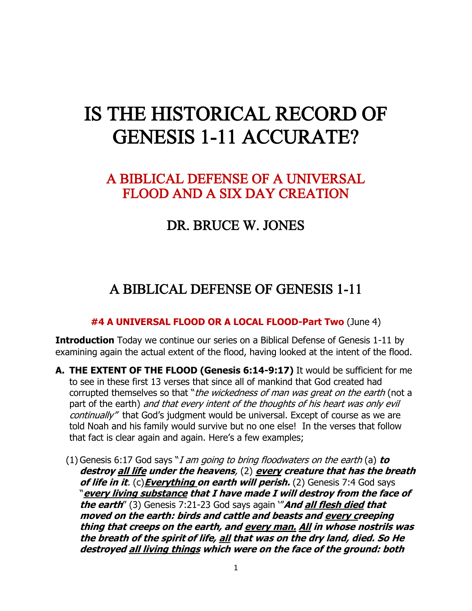# IS THE HISTORICAL RECORD OF GENESIS 1-11 ACCURATE?

### A BIBLICAL DEFENSE OF A UNIVERSAL FLOOD AND A SIX DAY CREATION

### DR. BRUCE W. JONES

## A BIBLICAL DEFENSE OF GENESIS 1-11

#### **#4 A UNIVERSAL FLOOD OR A LOCAL FLOOD-Part Two** (June 4)

**Introduction** Today we continue our series on a Biblical Defense of Genesis 1-11 by examining again the actual extent of the flood, having looked at the intent of the flood.

- **A. THE EXTENT OF THE FLOOD (Genesis 6:14-9:17)** It would be sufficient for me to see in these first 13 verses that since all of mankind that God created had corrupted themselves so that "the wickedness of man was great on the earth (not a part of the earth) and that every intent of the thoughts of his heart was only evil continually" that God's judgment would be universal. Except of course as we are told Noah and his family would survive but no one else! In the verses that follow that fact is clear again and again. Here's a few examples;
	- (1) Genesis 6:17 God says "I am going to bring floodwaters on the earth (a) **to destroy all life under the heavens**, (2) **every creature that has the breath of life in it**. (c)**Everything on earth will perish.** (2) Genesis 7:4 God says "**every living substance that I have made I will destroy from the face of the earth**" (3) Genesis 7:21-23 God says again '"**And all flesh died that moved on the earth: birds and cattle and beasts and every creeping thing that creeps on the earth, and every man. All in whose nostrils was the breath of the spirit of life, all that was on the dry land, died. So He destroyed all living things which were on the face of the ground: both**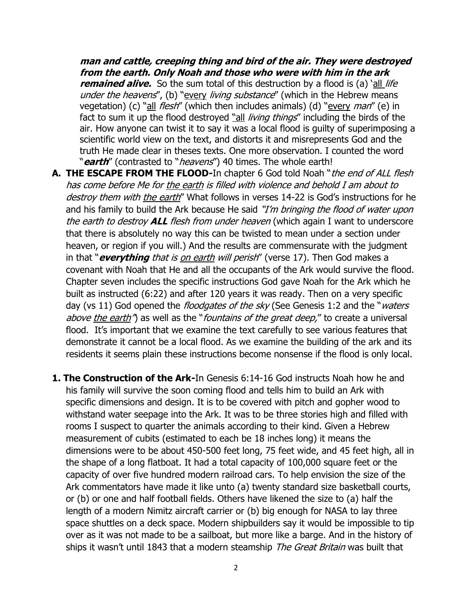**man and cattle, creeping thing and bird of the air. They were destroyed from the earth. Only Noah and those who were with him in the ark remained alive.** So the sum total of this destruction by a flood is (a) 'all *life* under the heavens", (b) "every living substance" (which in the Hebrew means vegetation) (c) "all *flesh*" (which then includes animals) (d) "every *man*" (e) in fact to sum it up the flood destroyed "all living things" including the birds of the air. How anyone can twist it to say it was a local flood is guilty of superimposing a scientific world view on the text, and distorts it and misrepresents God and the truth He made clear in theses texts. One more observation. I counted the word "**earth**" (contrasted to "heavens") 40 times. The whole earth!

- **A. THE ESCAPE FROM THE FLOOD-**In chapter 6 God told Noah "the end of ALL flesh has come before Me for the earth is filled with violence and behold I am about to destroy them with the earth" What follows in verses 14-22 is God's instructions for he and his family to build the Ark because He said "I'm bringing the flood of water upon the earth to destroy **ALL** flesh from under heaven (which again I want to underscore that there is absolutely no way this can be twisted to mean under a section under heaven, or region if you will.) And the results are commensurate with the judgment in that "**everything** that is on earth will perish" (verse 17). Then God makes a covenant with Noah that He and all the occupants of the Ark would survive the flood. Chapter seven includes the specific instructions God gave Noah for the Ark which he built as instructed (6:22) and after 120 years it was ready. Then on a very specific day (vs 11) God opened the *floodgates of the sky* (See Genesis 1:2 and the "*waters* above the earth<sup>"</sup>) as well as the "fountains of the great deep," to create a universal flood. It's important that we examine the text carefully to see various features that demonstrate it cannot be a local flood. As we examine the building of the ark and its residents it seems plain these instructions become nonsense if the flood is only local.
- **1. The Construction of the Ark-**In Genesis 6:14-16 God instructs Noah how he and his family will survive the soon coming flood and tells him to build an Ark with specific dimensions and design. It is to be covered with pitch and gopher wood to withstand water seepage into the Ark. It was to be three stories high and filled with rooms I suspect to quarter the animals according to their kind. Given a Hebrew measurement of cubits (estimated to each be 18 inches long) it means the dimensions were to be about 450-500 feet long, 75 feet wide, and 45 feet high, all in the shape of a long flatboat. It had a total capacity of 100,000 square feet or the capacity of over five hundred modern railroad cars. To help envision the size of the Ark commentators have made it like unto (a) twenty standard size basketball courts, or (b) or one and half football fields. Others have likened the size to (a) half the length of a modern Nimitz aircraft carrier or (b) big enough for NASA to lay three space shuttles on a deck space. Modern shipbuilders say it would be impossible to tip over as it was not made to be a sailboat, but more like a barge. And in the history of ships it wasn't until 1843 that a modern steamship The Great Britain was built that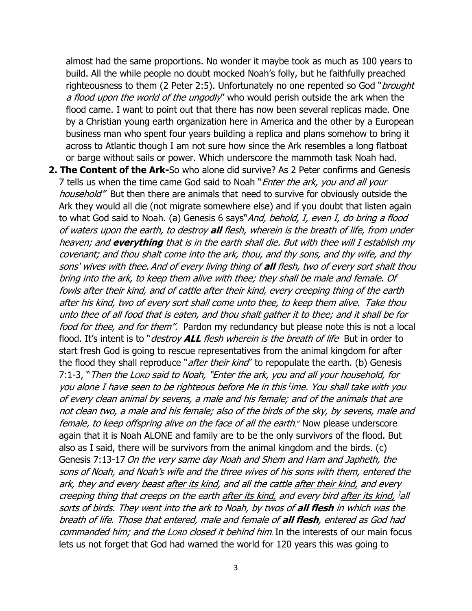almost had the same proportions. No wonder it maybe took as much as 100 years to build. All the while people no doubt mocked Noah's folly, but he faithfully preached righteousness to them (2 Peter 2:5). Unfortunately no one repented so God "*brought* a flood upon the world of the ungodly" who would perish outside the ark when the flood came. I want to point out that there has now been several replicas made. One by a Christian young earth organization here in America and the other by a European business man who spent four years building a replica and plans somehow to bring it across to Atlantic though I am not sure how since the Ark resembles a long flatboat or barge without sails or power. Which underscore the mammoth task Noah had.

**2. The Content of the Ark-**So who alone did survive? As 2 Peter confirms and Genesis 7 tells us when the time came God said to Noah "*Enter the ark, you and all your* household" But then there are animals that need to survive for obviously outside the Ark they would all die (not migrate somewhere else) and if you doubt that listen again to what God said to Noah. (a) Genesis 6 says"And, behold, I, even I, do bring a flood of waters upon the earth, to destroy **all** flesh, wherein is the breath of life, from under heaven; and **everything** that is in the earth shall die. But with thee will I establish my covenant; and thou shalt come into the ark, thou, and thy sons, and thy wife, and thy sons' wives with thee. And of every living thing of **all** flesh, two of every sort shalt thou bring into the ark, to keep them alive with thee; they shall be male and female. Of fowls after their kind, and of cattle after their kind, every creeping thing of the earth after his kind, two of every sort shall come unto thee, to keep them alive. Take thou unto thee of all food that is eaten, and thou shalt gather it to thee; and it shall be for food for thee, and for them". Pardon my redundancy but please note this is not a local flood. It's intent is to "*destroy ALL flesh wherein is the breath of life* But in order to start fresh God is going to rescue representatives from the animal kingdom for after the flood they shall reproduce "*after their kind*" to repopulate the earth. (b) Genesis 7:1-3, "Then the LORD said to Noah, "Enter the ark, you and all your household, for you alone I have seen to be righteous before Me in this t ime. You shall take with you of every clean animal by sevens, a male and his female; and of the animals that are not clean two, a male and his female; also of the birds of the sky, by sevens, male and female, to keep offspring alive on the face of all the earth." Now please underscore again that it is Noah ALONE and family are to be the only survivors of the flood. But also as I said, there will be survivors from the animal kingdom and the birds. (c) Genesis 7:13-17 On the very same day Noah and Shem and Ham and Japheth, the sons of Noah, and Noah's wife and the three wives of his sons with them, entered the ark, they and every beast after its kind, and all the cattle after their kind, and every creeping thing that creeps on the earth <u>after its kind,</u> and every bird <u>after its kind,</u> <sup>]</sup>all sorts of birds. They went into the ark to Noah, by twos of **all flesh** in which was the breath of life. Those that entered, male and female of **all flesh**, entered as God had commanded him; and the LORD closed it behind him. In the interests of our main focus lets us not forget that God had warned the world for 120 years this was going to